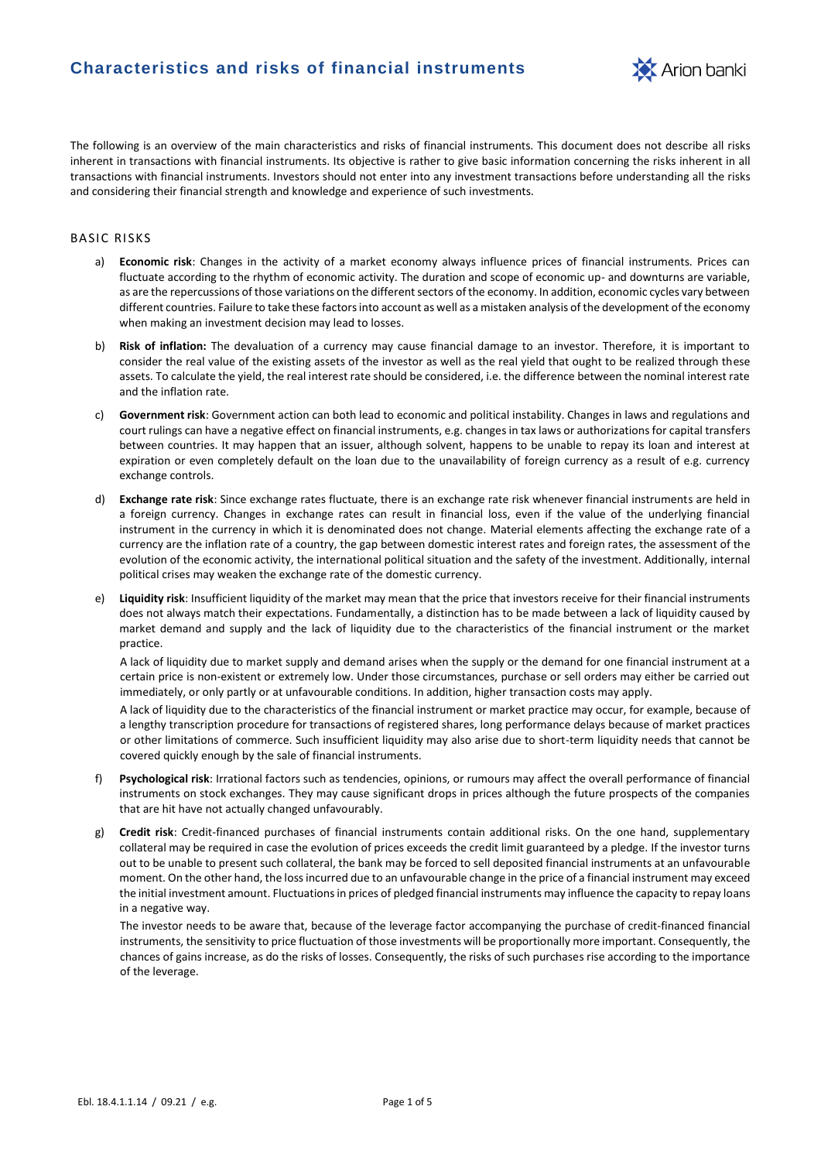

The following is an overview of the main characteristics and risks of financial instruments. This document does not describe all risks inherent in transactions with financial instruments. Its objective is rather to give basic information concerning the risks inherent in all transactions with financial instruments. Investors should not enter into any investment transactions before understanding all the risks and considering their financial strength and knowledge and experience of such investments.

# **BASIC RISKS**

- a) **Economic risk**: Changes in the activity of a market economy always influence prices of financial instruments. Prices can fluctuate according to the rhythm of economic activity. The duration and scope of economic up- and downturns are variable, as are the repercussions of those variations on the different sectors of the economy. In addition, economic cycles vary between different countries. Failure to take these factors into account as well as a mistaken analysis of the development of the economy when making an investment decision may lead to losses.
- b) **Risk of inflation:** The devaluation of a currency may cause financial damage to an investor. Therefore, it is important to consider the real value of the existing assets of the investor as well as the real yield that ought to be realized through these assets. To calculate the yield, the real interest rate should be considered, i.e. the difference between the nominal interest rate and the inflation rate.
- c) **Government risk**: Government action can both lead to economic and political instability. Changes in laws and regulations and court rulings can have a negative effect on financial instruments, e.g. changes in tax laws or authorizations for capital transfers between countries. It may happen that an issuer, although solvent, happens to be unable to repay its loan and interest at expiration or even completely default on the loan due to the unavailability of foreign currency as a result of e.g. currency exchange controls.
- d) **Exchange rate risk**: Since exchange rates fluctuate, there is an exchange rate risk whenever financial instruments are held in a foreign currency. Changes in exchange rates can result in financial loss, even if the value of the underlying financial instrument in the currency in which it is denominated does not change. Material elements affecting the exchange rate of a currency are the inflation rate of a country, the gap between domestic interest rates and foreign rates, the assessment of the evolution of the economic activity, the international political situation and the safety of the investment. Additionally, internal political crises may weaken the exchange rate of the domestic currency.
- e) **Liquidity risk**: Insufficient liquidity of the market may mean that the price that investors receive for their financial instruments does not always match their expectations. Fundamentally, a distinction has to be made between a lack of liquidity caused by market demand and supply and the lack of liquidity due to the characteristics of the financial instrument or the market practice.

A lack of liquidity due to market supply and demand arises when the supply or the demand for one financial instrument at a certain price is non-existent or extremely low. Under those circumstances, purchase or sell orders may either be carried out immediately, or only partly or at unfavourable conditions. In addition, higher transaction costs may apply.

A lack of liquidity due to the characteristics of the financial instrument or market practice may occur, for example, because of a lengthy transcription procedure for transactions of registered shares, long performance delays because of market practices or other limitations of commerce. Such insufficient liquidity may also arise due to short-term liquidity needs that cannot be covered quickly enough by the sale of financial instruments.

- f) **Psychological risk**: Irrational factors such as tendencies, opinions, or rumours may affect the overall performance of financial instruments on stock exchanges. They may cause significant drops in prices although the future prospects of the companies that are hit have not actually changed unfavourably.
- g) **Credit risk**: Credit-financed purchases of financial instruments contain additional risks. On the one hand, supplementary collateral may be required in case the evolution of prices exceeds the credit limit guaranteed by a pledge. If the investor turns out to be unable to present such collateral, the bank may be forced to sell deposited financial instruments at an unfavourable moment. On the other hand, the loss incurred due to an unfavourable change in the price of a financial instrument may exceed the initial investment amount. Fluctuations in prices of pledged financial instruments may influence the capacity to repay loans in a negative way.

The investor needs to be aware that, because of the leverage factor accompanying the purchase of credit-financed financial instruments, the sensitivity to price fluctuation of those investments will be proportionally more important. Consequently, the chances of gains increase, as do the risks of losses. Consequently, the risks of such purchases rise according to the importance of the leverage.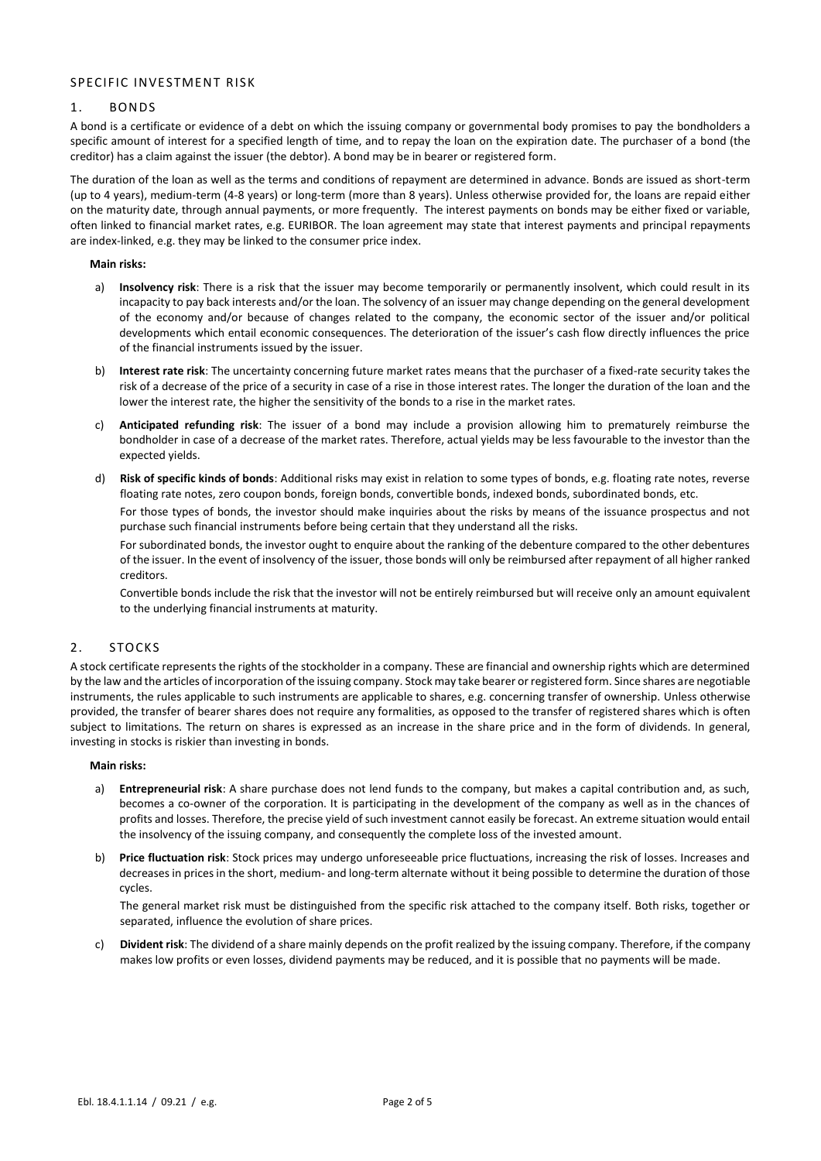# SPECIFIC INVESTMENT RISK

## 1. BONDS

A bond is a certificate or evidence of a debt on which the issuing company or governmental body promises to pay the bondholders a specific amount of interest for a specified length of time, and to repay the loan on the expiration date. The purchaser of a bond (the creditor) has a claim against the issuer (the debtor). A bond may be in bearer or registered form.

The duration of the loan as well as the terms and conditions of repayment are determined in advance. Bonds are issued as short-term (up to 4 years), medium-term (4-8 years) or long-term (more than 8 years). Unless otherwise provided for, the loans are repaid either on the maturity date, through annual payments, or more frequently. The interest payments on bonds may be either fixed or variable, often linked to financial market rates, e.g. EURIBOR. The loan agreement may state that interest payments and principal repayments are index-linked, e.g. they may be linked to the consumer price index.

**Main risks:**

- a) **Insolvency risk**: There is a risk that the issuer may become temporarily or permanently insolvent, which could result in its incapacity to pay back interests and/or the loan. The solvency of an issuer may change depending on the general development of the economy and/or because of changes related to the company, the economic sector of the issuer and/or political developments which entail economic consequences. The deterioration of the issuer's cash flow directly influences the price of the financial instruments issued by the issuer.
- b) **Interest rate risk**: The uncertainty concerning future market rates means that the purchaser of a fixed-rate security takes the risk of a decrease of the price of a security in case of a rise in those interest rates. The longer the duration of the loan and the lower the interest rate, the higher the sensitivity of the bonds to a rise in the market rates.
- c) **Anticipated refunding risk**: The issuer of a bond may include a provision allowing him to prematurely reimburse the bondholder in case of a decrease of the market rates. Therefore, actual yields may be less favourable to the investor than the expected yields.
- d) **Risk of specific kinds of bonds**: Additional risks may exist in relation to some types of bonds, e.g. floating rate notes, reverse floating rate notes, zero coupon bonds, foreign bonds, convertible bonds, indexed bonds, subordinated bonds, etc. For those types of bonds, the investor should make inquiries about the risks by means of the issuance prospectus and not

purchase such financial instruments before being certain that they understand all the risks.

For subordinated bonds, the investor ought to enquire about the ranking of the debenture compared to the other debentures of the issuer. In the event of insolvency of the issuer, those bonds will only be reimbursed after repayment of all higher ranked creditors.

Convertible bonds include the risk that the investor will not be entirely reimbursed but will receive only an amount equivalent to the underlying financial instruments at maturity.

## 2. STOCKS

A stock certificate represents the rights of the stockholder in a company. These are financial and ownership rights which are determined by the law and the articles of incorporation of the issuing company. Stock may take bearer or registered form. Since shares are negotiable instruments, the rules applicable to such instruments are applicable to shares, e.g. concerning transfer of ownership. Unless otherwise provided, the transfer of bearer shares does not require any formalities, as opposed to the transfer of registered shares which is often subject to limitations. The return on shares is expressed as an increase in the share price and in the form of dividends. In general, investing in stocks is riskier than investing in bonds.

#### **Main risks:**

- a) **Entrepreneurial risk**: A share purchase does not lend funds to the company, but makes a capital contribution and, as such, becomes a co-owner of the corporation. It is participating in the development of the company as well as in the chances of profits and losses. Therefore, the precise yield of such investment cannot easily be forecast. An extreme situation would entail the insolvency of the issuing company, and consequently the complete loss of the invested amount.
- b) **Price fluctuation risk**: Stock prices may undergo unforeseeable price fluctuations, increasing the risk of losses. Increases and decreases in prices in the short, medium- and long-term alternate without it being possible to determine the duration of those cycles.

The general market risk must be distinguished from the specific risk attached to the company itself. Both risks, together or separated, influence the evolution of share prices.

c) **Divident risk**: The dividend of a share mainly depends on the profit realized by the issuing company. Therefore, if the company makes low profits or even losses, dividend payments may be reduced, and it is possible that no payments will be made.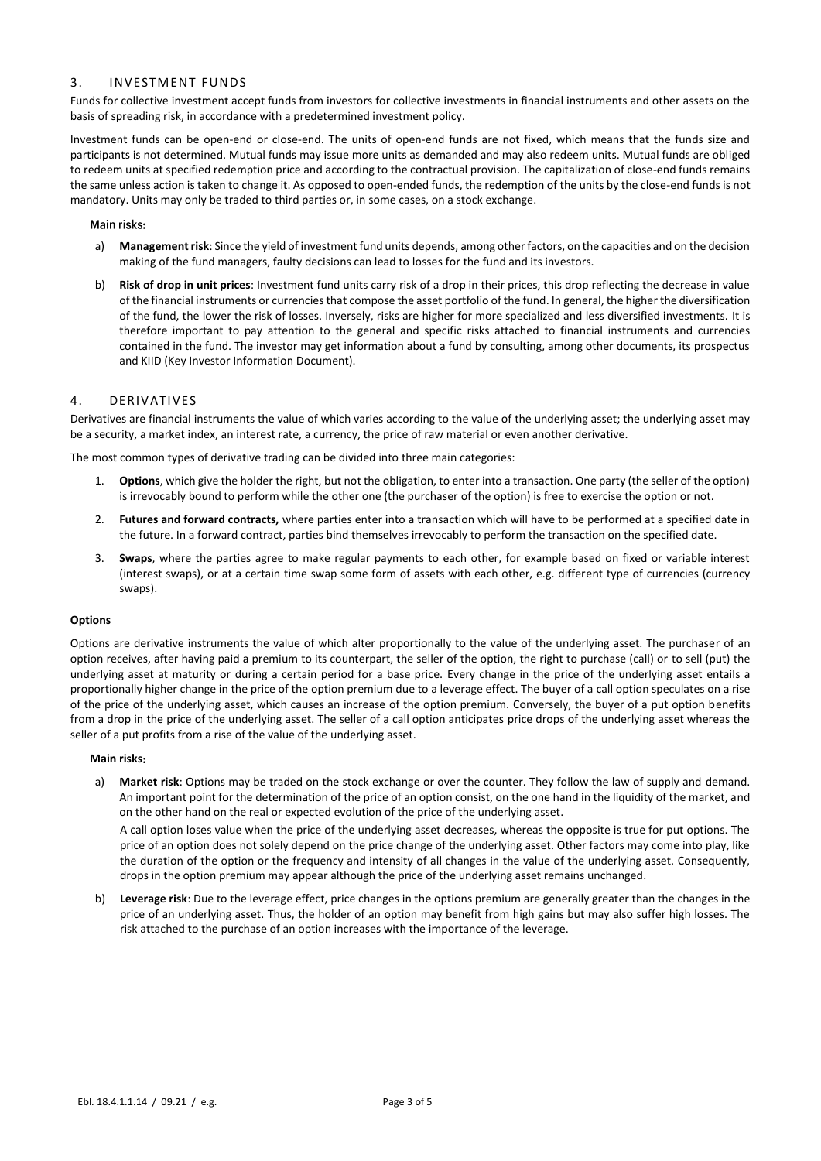# 3. INVE STMENT FUNDS

Funds for collective investment accept funds from investors for collective investments in financial instruments and other assets on the basis of spreading risk, in accordance with a predetermined investment policy.

Investment funds can be open-end or close-end. The units of open-end funds are not fixed, which means that the funds size and participants is not determined. Mutual funds may issue more units as demanded and may also redeem units. Mutual funds are obliged to redeem units at specified redemption price and according to the contractual provision. The capitalization of close-end funds remains the same unless action is taken to change it. As opposed to open-ended funds, the redemption of the units by the close-end funds is not mandatory. Units may only be traded to third parties or, in some cases, on a stock exchange.

#### Main risks:

- a) **Management risk**: Since the yield of investment fund units depends, among other factors, on the capacities and on the decision making of the fund managers, faulty decisions can lead to losses for the fund and its investors.
- b) **Risk of drop in unit prices**: Investment fund units carry risk of a drop in their prices, this drop reflecting the decrease in value of the financial instruments or currencies that compose the asset portfolio of the fund. In general, the higher the diversification of the fund, the lower the risk of losses. Inversely, risks are higher for more specialized and less diversified investments. It is therefore important to pay attention to the general and specific risks attached to financial instruments and currencies contained in the fund. The investor may get information about a fund by consulting, among other documents, its prospectus and KIID (Key Investor Information Document).

## 4. DERIVATIVES

Derivatives are financial instruments the value of which varies according to the value of the underlying asset; the underlying asset may be a security, a market index, an interest rate, a currency, the price of raw material or even another derivative.

The most common types of derivative trading can be divided into three main categories:

- 1. **Options**, which give the holder the right, but not the obligation, to enter into a transaction. One party (the seller of the option) is irrevocably bound to perform while the other one (the purchaser of the option) is free to exercise the option or not.
- 2. **Futures and forward contracts,** where parties enter into a transaction which will have to be performed at a specified date in the future. In a forward contract, parties bind themselves irrevocably to perform the transaction on the specified date.
- 3. **Swaps**, where the parties agree to make regular payments to each other, for example based on fixed or variable interest (interest swaps), or at a certain time swap some form of assets with each other, e.g. different type of currencies (currency swaps).

#### **Options**

Options are derivative instruments the value of which alter proportionally to the value of the underlying asset. The purchaser of an option receives, after having paid a premium to its counterpart, the seller of the option, the right to purchase (call) or to sell (put) the underlying asset at maturity or during a certain period for a base price. Every change in the price of the underlying asset entails a proportionally higher change in the price of the option premium due to a leverage effect. The buyer of a call option speculates on a rise of the price of the underlying asset, which causes an increase of the option premium. Conversely, the buyer of a put option benefits from a drop in the price of the underlying asset. The seller of a call option anticipates price drops of the underlying asset whereas the seller of a put profits from a rise of the value of the underlying asset.

#### **Main risks**

a) **Market risk**: Options may be traded on the stock exchange or over the counter. They follow the law of supply and demand. An important point for the determination of the price of an option consist, on the one hand in the liquidity of the market, and on the other hand on the real or expected evolution of the price of the underlying asset.

A call option loses value when the price of the underlying asset decreases, whereas the opposite is true for put options. The price of an option does not solely depend on the price change of the underlying asset. Other factors may come into play, like the duration of the option or the frequency and intensity of all changes in the value of the underlying asset. Consequently, drops in the option premium may appear although the price of the underlying asset remains unchanged.

b) **Leverage risk**: Due to the leverage effect, price changes in the options premium are generally greater than the changes in the price of an underlying asset. Thus, the holder of an option may benefit from high gains but may also suffer high losses. The risk attached to the purchase of an option increases with the importance of the leverage.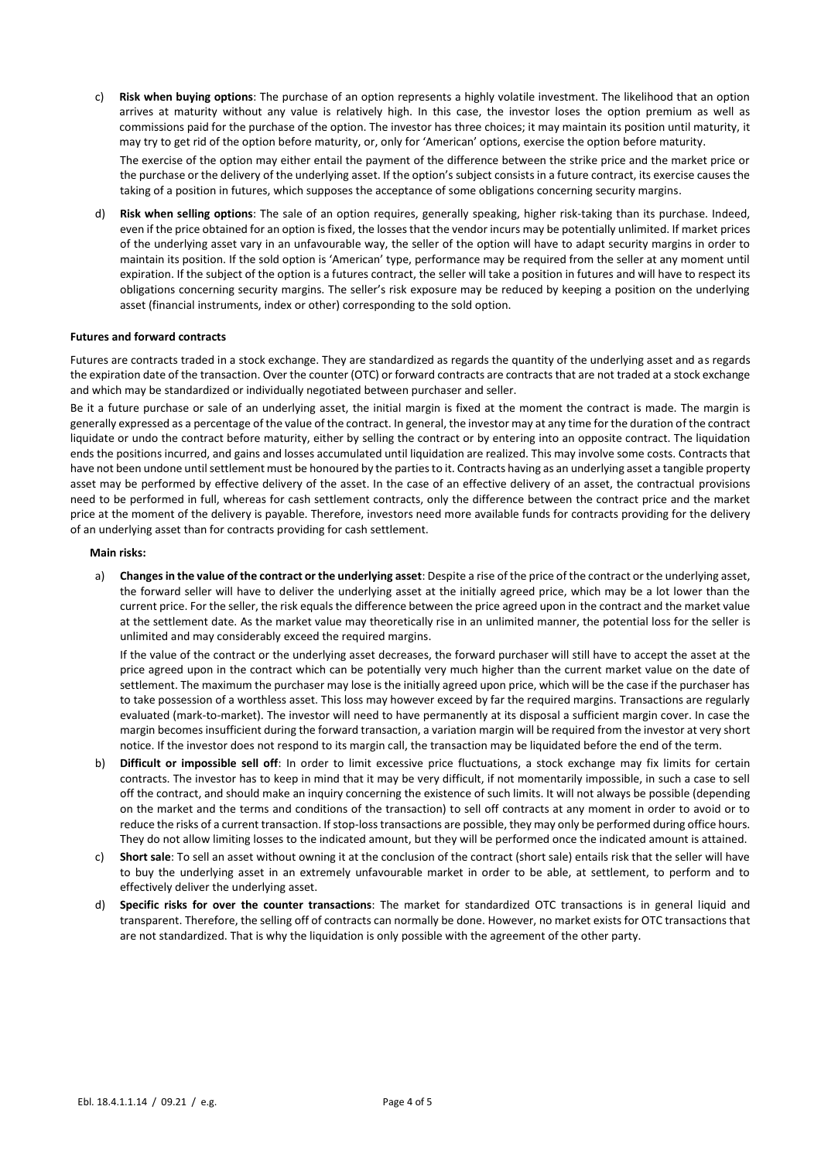c) **Risk when buying options**: The purchase of an option represents a highly volatile investment. The likelihood that an option arrives at maturity without any value is relatively high. In this case, the investor loses the option premium as well as commissions paid for the purchase of the option. The investor has three choices; it may maintain its position until maturity, it may try to get rid of the option before maturity, or, only for 'American' options, exercise the option before maturity.

The exercise of the option may either entail the payment of the difference between the strike price and the market price or the purchase or the delivery of the underlying asset. If the option's subject consists in a future contract, its exercise causes the taking of a position in futures, which supposes the acceptance of some obligations concerning security margins.

d) **Risk when selling options**: The sale of an option requires, generally speaking, higher risk-taking than its purchase. Indeed, even if the price obtained for an option is fixed, the losses that the vendor incurs may be potentially unlimited. If market prices of the underlying asset vary in an unfavourable way, the seller of the option will have to adapt security margins in order to maintain its position. If the sold option is 'American' type, performance may be required from the seller at any moment until expiration. If the subject of the option is a futures contract, the seller will take a position in futures and will have to respect its obligations concerning security margins. The seller's risk exposure may be reduced by keeping a position on the underlying asset (financial instruments, index or other) corresponding to the sold option.

### **Futures and forward contracts**

Futures are contracts traded in a stock exchange. They are standardized as regards the quantity of the underlying asset and as regards the expiration date of the transaction. Over the counter (OTC) or forward contracts are contracts that are not traded at a stock exchange and which may be standardized or individually negotiated between purchaser and seller.

Be it a future purchase or sale of an underlying asset, the initial margin is fixed at the moment the contract is made. The margin is generally expressed as a percentage of the value of the contract. In general, the investor may at any time for the duration of the contract liquidate or undo the contract before maturity, either by selling the contract or by entering into an opposite contract. The liquidation ends the positions incurred, and gains and losses accumulated until liquidation are realized. This may involve some costs. Contracts that have not been undone until settlement must be honoured by the parties to it. Contracts having as an underlying asset a tangible property asset may be performed by effective delivery of the asset. In the case of an effective delivery of an asset, the contractual provisions need to be performed in full, whereas for cash settlement contracts, only the difference between the contract price and the market price at the moment of the delivery is payable. Therefore, investors need more available funds for contracts providing for the delivery of an underlying asset than for contracts providing for cash settlement.

#### **Main risks:**

a) **Changes in the value of the contract or the underlying asset**: Despite a rise of the price of the contract or the underlying asset, the forward seller will have to deliver the underlying asset at the initially agreed price, which may be a lot lower than the current price. For the seller, the risk equals the difference between the price agreed upon in the contract and the market value at the settlement date. As the market value may theoretically rise in an unlimited manner, the potential loss for the seller is unlimited and may considerably exceed the required margins.

If the value of the contract or the underlying asset decreases, the forward purchaser will still have to accept the asset at the price agreed upon in the contract which can be potentially very much higher than the current market value on the date of settlement. The maximum the purchaser may lose is the initially agreed upon price, which will be the case if the purchaser has to take possession of a worthless asset. This loss may however exceed by far the required margins. Transactions are regularly evaluated (mark-to-market). The investor will need to have permanently at its disposal a sufficient margin cover. In case the margin becomes insufficient during the forward transaction, a variation margin will be required from the investor at very short notice. If the investor does not respond to its margin call, the transaction may be liquidated before the end of the term.

- b) **Difficult or impossible sell off**: In order to limit excessive price fluctuations, a stock exchange may fix limits for certain contracts. The investor has to keep in mind that it may be very difficult, if not momentarily impossible, in such a case to sell off the contract, and should make an inquiry concerning the existence of such limits. It will not always be possible (depending on the market and the terms and conditions of the transaction) to sell off contracts at any moment in order to avoid or to reduce the risks of a current transaction. If stop-loss transactions are possible, they may only be performed during office hours. They do not allow limiting losses to the indicated amount, but they will be performed once the indicated amount is attained.
- c) **Short sale**: To sell an asset without owning it at the conclusion of the contract (short sale) entails risk that the seller will have to buy the underlying asset in an extremely unfavourable market in order to be able, at settlement, to perform and to effectively deliver the underlying asset.
- d) **Specific risks for over the counter transactions**: The market for standardized OTC transactions is in general liquid and transparent. Therefore, the selling off of contracts can normally be done. However, no market exists for OTC transactions that are not standardized. That is why the liquidation is only possible with the agreement of the other party.